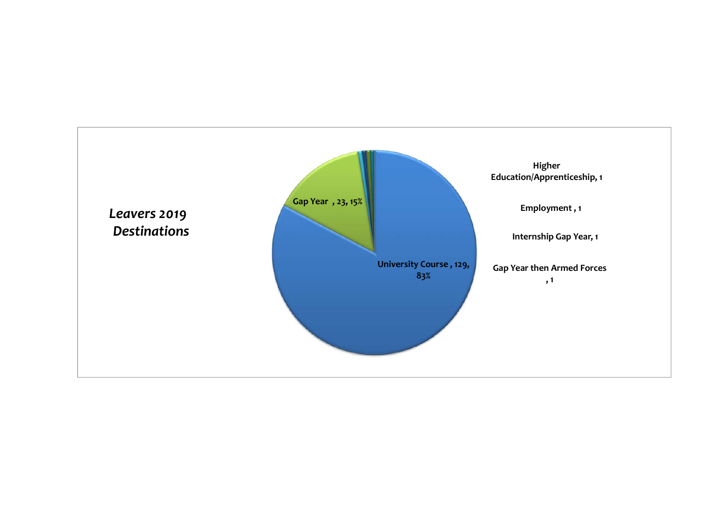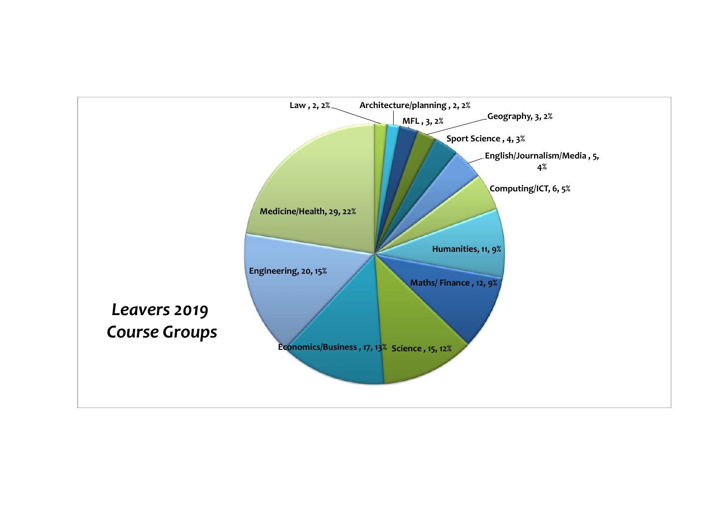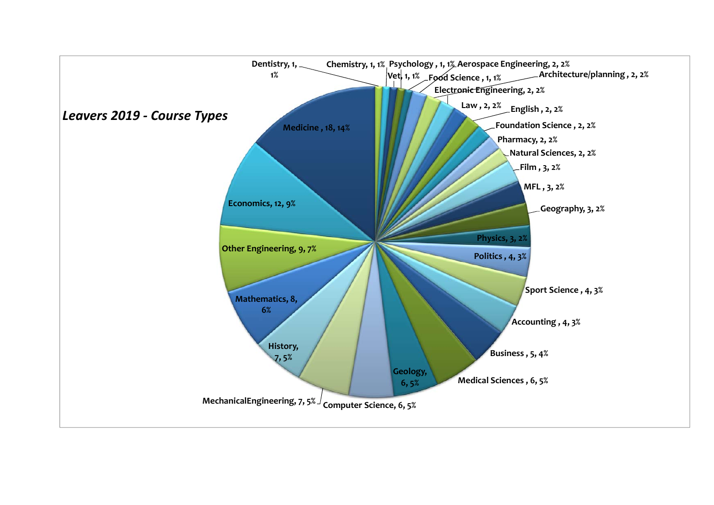